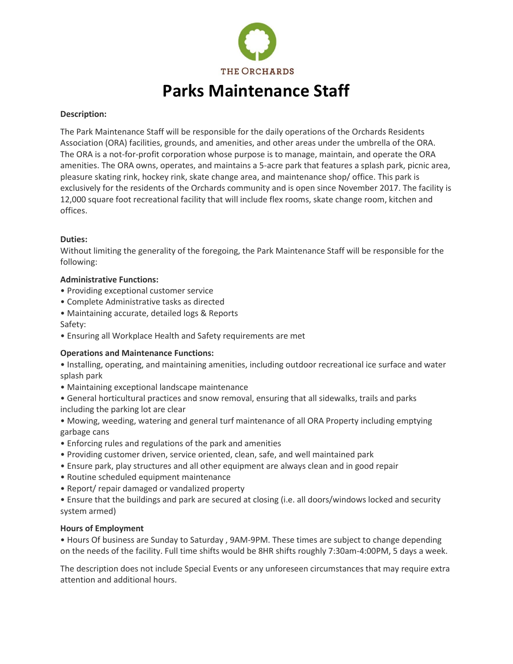

# **Parks Maintenance Staff**

#### **Description:**

The Park Maintenance Staff will be responsible for the daily operations of the Orchards Residents Association (ORA) facilities, grounds, and amenities, and other areas under the umbrella of the ORA. The ORA is a not-for-profit corporation whose purpose is to manage, maintain, and operate the ORA amenities. The ORA owns, operates, and maintains a 5-acre park that features a splash park, picnic area, pleasure skating rink, hockey rink, skate change area, and maintenance shop/ office. This park is exclusively for the residents of the Orchards community and is open since November 2017. The facility is 12,000 square foot recreational facility that will include flex rooms, skate change room, kitchen and offices.

### **Duties:**

Without limiting the generality of the foregoing, the Park Maintenance Staff will be responsible for the following:

### **Administrative Functions:**

- Providing exceptional customer service
- Complete Administrative tasks as directed
- Maintaining accurate, detailed logs & Reports

Safety:

• Ensuring all Workplace Health and Safety requirements are met

## **Operations and Maintenance Functions:**

- Installing, operating, and maintaining amenities, including outdoor recreational ice surface and water splash park
- Maintaining exceptional landscape maintenance
- General horticultural practices and snow removal, ensuring that all sidewalks, trails and parks including the parking lot are clear
- Mowing, weeding, watering and general turf maintenance of all ORA Property including emptying garbage cans
- Enforcing rules and regulations of the park and amenities
- Providing customer driven, service oriented, clean, safe, and well maintained park
- Ensure park, play structures and all other equipment are always clean and in good repair
- Routine scheduled equipment maintenance
- Report/ repair damaged or vandalized property
- Ensure that the buildings and park are secured at closing (i.e. all doors/windows locked and security system armed)

#### **Hours of Employment**

• Hours Of business are Sunday to Saturday , 9AM-9PM. These times are subject to change depending on the needs of the facility. Full time shifts would be 8HR shifts roughly 7:30am-4:00PM, 5 days a week.

The description does not include Special Events or any unforeseen circumstances that may require extra attention and additional hours.